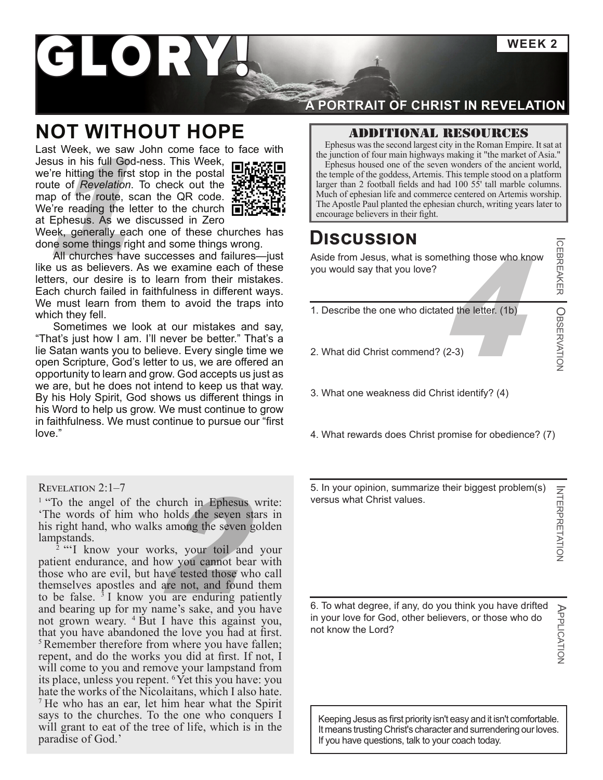**WEEK 2**

ICEBREAKER

**CEBREAKER | OBSERVATION** 

BSERVATION

INTERPRETATION

APPLICATION

APPLICATION

# I ORY

### **NOT WITHOUT HOPE**

Last Week, we saw John come face to face with Jesus in his full God-ness. This Week, we're hitting the first stop in the postal route of *Revelation*. To check out the map of the route, scan the QR code. We're reading the letter to the church  $\blacksquare$ at Ephesus. As we discussed in Zero



Week, generally each one of these churches has done some things right and some things wrong.

All churches have successes and failures—just like us as believers. As we examine each of these letters, our desire is to learn from their mistakes. Each church failed in faithfulness in different ways. We must learn from them to avoid the traps into which they fell.

Sometimes we look at our mistakes and say, "That's just how I am. I'll never be better." That's a lie Satan wants you to believe. Every single time we open Scripture, God's letter to us, we are offered an opportunity to learn and grow. God accepts us just as we are, but he does not intend to keep us that way. By his Holy Spirit, God shows us different things in his Word to help us grow. We must continue to grow in faithfulness. We must continue to pursue our "first love."

#### Revelation 2:1–7

'The words of him who holds the seven stars in his right hand, who walks among the seven golden lampstands.

<sup>1</sup> "To the angel of the church in Ephesus write:<br>
"The words of him who holds the seven stars in<br>
his right hand, who walks among the seven golden<br>
lampstands.<br>  $2$  "'I know your works, your toil and your<br>
patient endura <sup>2</sup> "I know your works, your toil and your patient endurance, and how you cannot bear with those who are evil, but have tested those who call themselves apostles and are not, and found them to be false.  $3I$  know you are enduring patiently and bearing up for my name's sake, and you have not grown weary. 4 But I have this against you, that you have abandoned the love you had at first. <sup>5</sup>Remember therefore from where you have fallen; repent, and do the works you did at first. If not, I will come to you and remove your lampstand from its place, unless you repent. 6Yet this you have: you hate the works of the Nicolaitans, which I also hate. <sup>7</sup> He who has an ear, let him hear what the Spirit says to the churches. To the one who conquers I will grant to eat of the tree of life, which is in the paradise of God.'

#### **A PORTRAIT OF CHRIST IN REVELATION**

#### Additional resources

Ephesus was the second largest city in the Roman Empire. It sat at the junction of four main highways making it "the market of Asia."

Ephesus housed one of the seven wonders of the ancient world, the temple of the goddess, Artemis. This temple stood on a platform larger than 2 football fields and had 100 55' tall marble columns. Much of ephesian life and commerce centered on Artemis worship. SUS IN THE Aposte Paul planted the ephesian church, writing years later to the route, scan the QR code.<br>
The Aposte Paul planted the ephesian church, writing years later to the church of Revelation. To check out the  $\frac{1$ 

### **Discussion**

 $444$  the letter. (1b) Aside from Jesus, what is something those who know you would say that you love?

- 1. Describe the one who dictated the letter. (1b)
- 2. What did Christ commend? (2-3)
- 3. What one weakness did Christ identify? (4)
- 4. What rewards does Christ promise for obedience? (7)

5. In your opinion, summarize their biggest problem(s) **INTERPRETATION** versus what Christ values.

6. To what degree, if any, do you think you have drifted in your love for God, other believers, or those who do not know the Lord?

Keeping Jesus as first priority isn't easy and it isn't comfortable. It means trusting Christ's character and surrendering our loves. If you have questions, talk to your coach today.